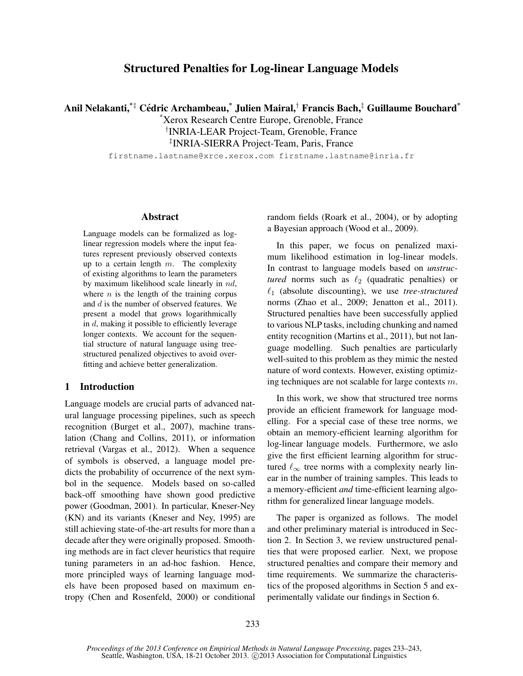## Structured Penalties for Log-linear Language Models

Anil Nelakanti, $^{\ast\ddagger}$  Cédric Archambeau, $^{\ast}$  Julien Mairal, $^{\dag}$  Francis Bach, $^{\ddagger}$  Guillaume Bouchard $^{\ast}$ 

\*Xerox Research Centre Europe, Grenoble, France † INRIA-LEAR Project-Team, Grenoble, France

‡ INRIA-SIERRA Project-Team, Paris, France

firstname.lastname@xrce.xerox.com firstname.lastname@inria.fr

#### Abstract

Language models can be formalized as loglinear regression models where the input features represent previously observed contexts up to a certain length  $m$ . The complexity of existing algorithms to learn the parameters by maximum likelihood scale linearly in nd, where  $n$  is the length of the training corpus and d is the number of observed features. We present a model that grows logarithmically in  $d$ , making it possible to efficiently leverage longer contexts. We account for the sequential structure of natural language using treestructured penalized objectives to avoid overfitting and achieve better generalization.

## 1 Introduction

Language models are crucial parts of advanced natural language processing pipelines, such as speech recognition (Burget et al., 2007), machine translation (Chang and Collins, 2011), or information retrieval (Vargas et al., 2012). When a sequence of symbols is observed, a language model predicts the probability of occurrence of the next symbol in the sequence. Models based on so-called back-off smoothing have shown good predictive power (Goodman, 2001). In particular, Kneser-Ney (KN) and its variants (Kneser and Ney, 1995) are still achieving state-of-the-art results for more than a decade after they were originally proposed. Smoothing methods are in fact clever heuristics that require tuning parameters in an ad-hoc fashion. Hence, more principled ways of learning language models have been proposed based on maximum entropy (Chen and Rosenfeld, 2000) or conditional random fields (Roark et al., 2004), or by adopting a Bayesian approach (Wood et al., 2009).

In this paper, we focus on penalized maximum likelihood estimation in log-linear models. In contrast to language models based on *unstructured* norms such as  $\ell_2$  (quadratic penalties) or  $\ell_1$  (absolute discounting), we use *tree-structured* norms (Zhao et al., 2009; Jenatton et al., 2011). Structured penalties have been successfully applied to various NLP tasks, including chunking and named entity recognition (Martins et al., 2011), but not language modelling. Such penalties are particularly well-suited to this problem as they mimic the nested nature of word contexts. However, existing optimizing techniques are not scalable for large contexts m.

In this work, we show that structured tree norms provide an efficient framework for language modelling. For a special case of these tree norms, we obtain an memory-efficient learning algorithm for log-linear language models. Furthermore, we aslo give the first efficient learning algorithm for structured  $\ell_{\infty}$  tree norms with a complexity nearly linear in the number of training samples. This leads to a memory-efficient *and* time-efficient learning algorithm for generalized linear language models.

The paper is organized as follows. The model and other preliminary material is introduced in Section 2. In Section 3, we review unstructured penalties that were proposed earlier. Next, we propose structured penalties and compare their memory and time requirements. We summarize the characteristics of the proposed algorithms in Section 5 and experimentally validate our findings in Section 6.

*Proceedings of the 2013 Conference on Empirical Methods in Natural Language Processing*, pages 233–243, Seattle, Washington, USA, 18-21 October 2013. ©2013 Association for Computational Linguistics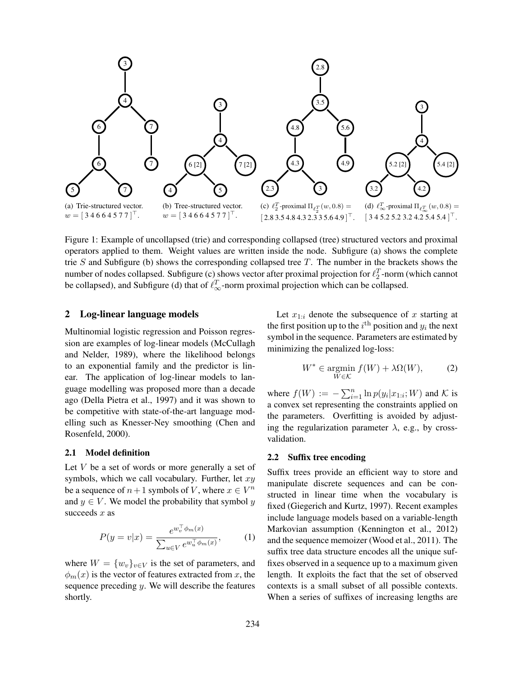

Figure 1: Example of uncollapsed (trie) and corresponding collapsed (tree) structured vectors and proximal operators applied to them. Weight values are written inside the node. Subfigure (a) shows the complete trie  $S$  and Subfigure (b) shows the corresponding collapsed tree  $T$ . The number in the brackets shows the number of nodes collapsed. Subfigure (c) shows vector after proximal projection for  $\ell_2^T$ -norm (which cannot be collapsed), and Subfigure (d) that of  $\ell_{\infty}^T$ -norm proximal projection which can be collapsed.

## 2 Log-linear language models

Multinomial logistic regression and Poisson regression are examples of log-linear models (McCullagh and Nelder, 1989), where the likelihood belongs to an exponential family and the predictor is linear. The application of log-linear models to language modelling was proposed more than a decade ago (Della Pietra et al., 1997) and it was shown to be competitive with state-of-the-art language modelling such as Knesser-Ney smoothing (Chen and Rosenfeld, 2000).

#### 2.1 Model definition

Let  $V$  be a set of words or more generally a set of symbols, which we call vocabulary. Further, let  $xy$ be a sequence of  $n+1$  symbols of V, where  $x \in V^n$ and  $y \in V$ . We model the probability that symbol y succeeds  $x$  as

$$
P(y = v|x) = \frac{e^{w_v^\top \phi_m(x)}}{\sum_{u \in V} e^{w_u^\top \phi_m(x)}},\tag{1}
$$

where  $W = \{w_v\}_{v \in V}$  is the set of parameters, and  $\phi_m(x)$  is the vector of features extracted from x, the sequence preceding  $y$ . We will describe the features shortly.

Let  $x_{1:i}$  denote the subsequence of x starting at the first position up to the  $i^{\text{th}}$  position and  $y_i$  the next symbol in the sequence. Parameters are estimated by minimizing the penalized log-loss:

$$
W^* \in \underset{W \in \mathcal{K}}{\text{argmin}} \ f(W) + \lambda \Omega(W), \tag{2}
$$

where  $f(W) := -\sum_{i=1}^{n} \ln p(y_i | x_{1:i}; W)$  and K is a convex set representing the constraints applied on the parameters. Overfitting is avoided by adjusting the regularization parameter  $\lambda$ , e.g., by crossvalidation.

#### 2.2 Suffix tree encoding

Suffix trees provide an efficient way to store and manipulate discrete sequences and can be constructed in linear time when the vocabulary is fixed (Giegerich and Kurtz, 1997). Recent examples include language models based on a variable-length Markovian assumption (Kennington et al., 2012) and the sequence memoizer (Wood et al., 2011). The suffix tree data structure encodes all the unique suffixes observed in a sequence up to a maximum given length. It exploits the fact that the set of observed contexts is a small subset of all possible contexts. When a series of suffixes of increasing lengths are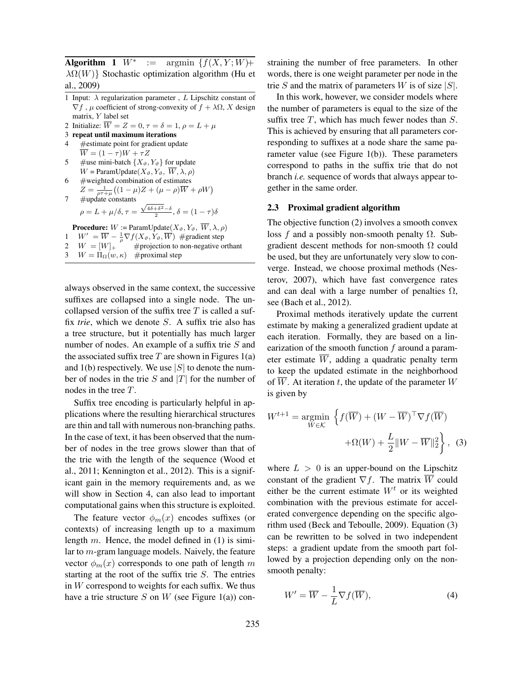Algorithm 1  $W^*$  $:=$  argmin  $\{f(X, Y; W) +$  $\lambda \Omega(W)$ } Stochastic optimization algorithm (Hu et al., 2009)

- 1 Input:  $\lambda$  regularization parameter, L Lipschitz constant of  $\nabla f$ ,  $\mu$  coefficient of strong-convexity of  $f + \lambda \Omega$ , X design matrix, Y label set
- 2 Initialize:  $\overline{W} = Z = 0, \tau = \delta = 1, \rho = L + \mu$
- 3 repeat until maximum iterations
- 4 #estimate point for gradient update  $\overline{W} = (1 - \tau)W + \tau Z$
- 5 #use mini-batch  $\{X_{\vartheta}, Y_{\vartheta}\}\$  for update  $W = \text{ParamUpdate}(X_{\vartheta}, Y_{\vartheta}, \overline{W}, \lambda, \rho)$
- $6$  #weighted combination of estimates  $Z = \frac{1}{\rho \tau + \mu} \big( (1 - \mu) Z + (\mu - \rho) \overline{W} + \rho W \big)$  $7 \#update$  constants

$$
\begin{aligned} \n\# \text{update constants} \\ \n\rho = L + \mu/\delta, \tau = \frac{\sqrt{4\delta + \delta^2} - \delta}{2}, \delta = (1 - \tau)\delta \n\end{aligned}
$$

**Procedure:**  $W := \text{ParamUpdate}(X_{\vartheta}, Y_{\vartheta}, \overline{W}, \lambda, \rho)$  $W' = \overline{W} - \frac{1}{\rho} \nabla f(X_{\vartheta}, Y_{\vartheta}, \overline{W})$  #gradient step  $W = [W]_+$  #projection to non-negative orthant  $W = \Pi_{\Omega}(w, \kappa)$  #proximal step

always observed in the same context, the successive suffixes are collapsed into a single node. The uncollapsed version of the suffix tree  $T$  is called a suffix *trie*, which we denote S. A suffix trie also has a tree structure, but it potentially has much larger number of nodes. An example of a suffix trie S and the associated suffix tree  $T$  are shown in Figures 1(a) and 1(b) respectively. We use  $|S|$  to denote the number of nodes in the trie S and  $|T|$  for the number of nodes in the tree T.

Suffix tree encoding is particularly helpful in applications where the resulting hierarchical structures are thin and tall with numerous non-branching paths. In the case of text, it has been observed that the number of nodes in the tree grows slower than that of the trie with the length of the sequence (Wood et al., 2011; Kennington et al., 2012). This is a significant gain in the memory requirements and, as we will show in Section 4, can also lead to important computational gains when this structure is exploited.

The feature vector  $\phi_m(x)$  encodes suffixes (or contexts) of increasing length up to a maximum length m. Hence, the model defined in  $(1)$  is similar to m-gram language models. Naively, the feature vector  $\phi_m(x)$  corresponds to one path of length m starting at the root of the suffix trie  $S$ . The entries in  $W$  correspond to weights for each suffix. We thus have a trie structure S on W (see Figure 1(a)) constraining the number of free parameters. In other words, there is one weight parameter per node in the trie S and the matrix of parameters W is of size  $|S|$ .

In this work, however, we consider models where the number of parameters is equal to the size of the suffix tree  $T$ , which has much fewer nodes than  $S$ . This is achieved by ensuring that all parameters corresponding to suffixes at a node share the same parameter value (see Figure 1(b)). These parameters correspond to paths in the suffix trie that do not branch *i.e.* sequence of words that always appear together in the same order.

## 2.3 Proximal gradient algorithm

The objective function (2) involves a smooth convex loss f and a possibly non-smooth penalty  $\Omega$ . Subgradient descent methods for non-smooth  $\Omega$  could be used, but they are unfortunately very slow to converge. Instead, we choose proximal methods (Nesterov, 2007), which have fast convergence rates and can deal with a large number of penalties  $\Omega$ , see (Bach et al., 2012).

Proximal methods iteratively update the current estimate by making a generalized gradient update at each iteration. Formally, they are based on a linearization of the smooth function  $f$  around a parameter estimate  $\overline{W}$ , adding a quadratic penalty term to keep the updated estimate in the neighborhood of  $\overline{W}$ . At iteration t, the update of the parameter W is given by

$$
W^{t+1} = \underset{W \in \mathcal{K}}{\operatorname{argmin}} \left\{ f(\overline{W}) + (W - \overline{W})^{\top} \nabla f(\overline{W}) + \Omega(W) + \frac{L}{2} \|W - \overline{W}\|_2^2 \right\}, \tag{3}
$$

where  $L > 0$  is an upper-bound on the Lipschitz constant of the gradient  $\nabla f$ . The matrix  $\overline{W}$  could either be the current estimate  $W<sup>t</sup>$  or its weighted combination with the previous estimate for accelerated convergence depending on the specific algorithm used (Beck and Teboulle, 2009). Equation (3) can be rewritten to be solved in two independent steps: a gradient update from the smooth part followed by a projection depending only on the nonsmooth penalty:

$$
W' = \overline{W} - \frac{1}{L} \nabla f(\overline{W}),\tag{4}
$$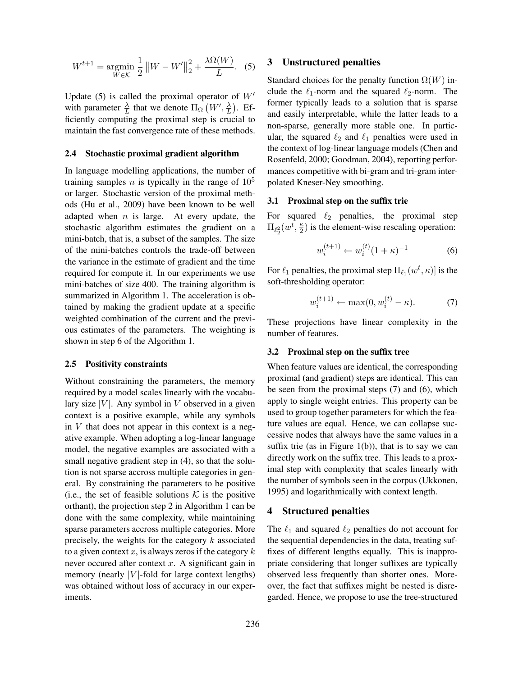$$
W^{t+1} = \underset{W \in \mathcal{K}}{\text{argmin}} \frac{1}{2} \|W - W'\|_2^2 + \frac{\lambda \Omega(W)}{L}.
$$
 (5)

Update (5) is called the proximal operator of  $W'$ with parameter  $\frac{\lambda}{L}$  that we denote  $\Pi_{\Omega}(W', \frac{\lambda}{L})$ . Efficiently computing the proximal step is crucial to maintain the fast convergence rate of these methods.

#### 2.4 Stochastic proximal gradient algorithm

In language modelling applications, the number of training samples *n* is typically in the range of  $10^5$ or larger. Stochastic version of the proximal methods (Hu et al., 2009) have been known to be well adapted when  $n$  is large. At every update, the stochastic algorithm estimates the gradient on a mini-batch, that is, a subset of the samples. The size of the mini-batches controls the trade-off between the variance in the estimate of gradient and the time required for compute it. In our experiments we use mini-batches of size 400. The training algorithm is summarized in Algorithm 1. The acceleration is obtained by making the gradient update at a specific weighted combination of the current and the previous estimates of the parameters. The weighting is shown in step 6 of the Algorithm 1.

#### 2.5 Positivity constraints

Without constraining the parameters, the memory required by a model scales linearly with the vocabulary size  $|V|$ . Any symbol in V observed in a given context is a positive example, while any symbols in  $V$  that does not appear in this context is a negative example. When adopting a log-linear language model, the negative examples are associated with a small negative gradient step in  $(4)$ , so that the solution is not sparse accross multiple categories in general. By constraining the parameters to be positive (i.e., the set of feasible solutions  $K$  is the positive orthant), the projection step 2 in Algorithm 1 can be done with the same complexity, while maintaining sparse parameters accross multiple categories. More precisely, the weights for the category  $k$  associated to a given context x, is always zeros if the category  $k$ never occured after context  $x$ . A significant gain in memory (nearly | $V$ |-fold for large context lengths) was obtained without loss of accuracy in our experiments.

## 3 Unstructured penalties

Standard choices for the penalty function  $\Omega(W)$  include the  $\ell_1$ -norm and the squared  $\ell_2$ -norm. The former typically leads to a solution that is sparse and easily interpretable, while the latter leads to a non-sparse, generally more stable one. In particular, the squared  $\ell_2$  and  $\ell_1$  penalties were used in the context of log-linear language models (Chen and Rosenfeld, 2000; Goodman, 2004), reporting performances competitive with bi-gram and tri-gram interpolated Kneser-Ney smoothing.

## 3.1 Proximal step on the suffix trie

For squared  $\ell_2$  penalties, the proximal step  $\Pi_{\ell_2^2}(w^t, \frac{\kappa}{2})$  is the element-wise rescaling operation:

$$
w_i^{(t+1)} \leftarrow w_i^{(t)} (1 + \kappa)^{-1} \tag{6}
$$

For  $\ell_1$  penalties, the proximal step  $\Pi_{\ell_1}(w^t, \kappa)]$  is the soft-thresholding operator:

$$
w_i^{(t+1)} \leftarrow \max(0, w_i^{(t)} - \kappa). \tag{7}
$$

These projections have linear complexity in the number of features.

## 3.2 Proximal step on the suffix tree

When feature values are identical, the corresponding proximal (and gradient) steps are identical. This can be seen from the proximal steps (7) and (6), which apply to single weight entries. This property can be used to group together parameters for which the feature values are equal. Hence, we can collapse successive nodes that always have the same values in a suffix trie (as in Figure  $1(b)$ ), that is to say we can directly work on the suffix tree. This leads to a proximal step with complexity that scales linearly with the number of symbols seen in the corpus (Ukkonen, 1995) and logarithmically with context length.

### 4 Structured penalties

The  $\ell_1$  and squared  $\ell_2$  penalties do not account for the sequential dependencies in the data, treating suffixes of different lengths equally. This is inappropriate considering that longer suffixes are typically observed less frequently than shorter ones. Moreover, the fact that suffixes might be nested is disregarded. Hence, we propose to use the tree-structured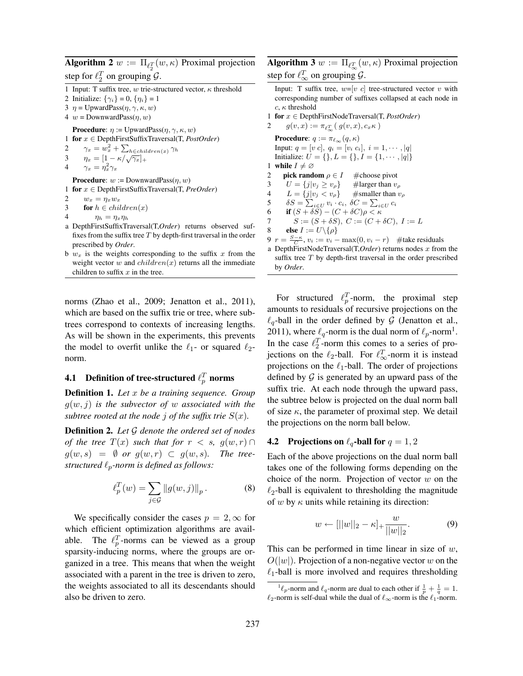**Algorithm 2**  $w := \Pi_{\ell_2^T}(w, \kappa)$  Proximal projection step for  $\ell_2^T$  on grouping  $\mathcal{G}$ .

1 Input: T suffix tree, w trie-structured vector,  $\kappa$  threshold

2 Initialize:  $\{\gamma_i\} = 0, \{\eta_i\} = 1$ 

3  $\eta = \text{UpwardPass}(\eta, \gamma, \kappa, w)$ 

4  $w =$ DownwardPass $(\eta, w)$ 

**Procedure**:  $\eta := \text{UpwardPass}(\eta, \gamma, \kappa, w)$ 

1 for x ∈ DepthFirstSuffixTraversal(T, *PostOrder*)

2  $\gamma_x = w_x^2 + \sum_{h \in children(x)} \gamma_h$ 2  $\gamma_x = w_x^2 + \sum_{h \in child}$ <br>3  $\eta_x = [1 - \kappa/\sqrt{\gamma_x}]_+$ 

4  $\gamma_x = \eta_x^2 \gamma_x$ 

**Procedure:**  $w :=$ DownwardPass $(n, w)$ 1 for x ∈ DepthFirstSuffixTraversal(T, *PreOrder*)

2  $w_x = \eta_x w_x$ 

3 for  $h \in children(x)$ 

4 
$$
\eta_h = \eta_x \eta_h
$$

- a DepthFirstSuffixTraversal(T,*Order*) returns observed suffixes from the suffix tree  $T$  by depth-first traversal in the order prescribed by *Order*.
- b  $w_x$  is the weights corresponding to the suffix x from the weight vector  $w$  and  $children(x)$  returns all the immediate children to suffix  $x$  in the tree.

norms (Zhao et al., 2009; Jenatton et al., 2011), which are based on the suffix trie or tree, where subtrees correspond to contexts of increasing lengths. As will be shown in the experiments, this prevents the model to overfit unlike the  $\ell_1$ - or squared  $\ell_2$ norm.

# 4.1 Definition of tree-structured  $\ell_p^T$  norms

Definition 1. *Let* x *be a training sequence. Group* g(w, j) *is the subvector of* w *associated with the subtree rooted at the node j of the suffix trie*  $S(x)$ *.* 

Definition 2. *Let* G *denote the ordered set of nodes of the tree*  $T(x)$  *such that for*  $r < s$ ,  $g(w,r) \cap$  $g(w, s) = \emptyset$  *or*  $g(w, r) \subset g(w, s)$ *. The treestructured*  $\ell_p$ -norm is defined as follows:

$$
\ell_p^T(w) = \sum_{j \in \mathcal{G}} ||g(w,j)||_p. \tag{8}
$$

We specifically consider the cases  $p = 2, \infty$  for which efficient optimization algorithms are available. The  $\ell_p^T$ -norms can be viewed as a group sparsity-inducing norms, where the groups are organized in a tree. This means that when the weight associated with a parent in the tree is driven to zero, the weights associated to all its descendants should also be driven to zero.

**Algorithm 3**  $w := \Pi_{\ell_{\infty}^T}(w, \kappa)$  Proximal projection step for  $\ell_{\infty}^T$  on grouping  $\mathcal{G}$ .

Input: T suffix tree,  $w=[v \ c]$  tree-structured vector v with corresponding number of suffixes collapsed at each node in c, κ threshold

1 for x ∈ DepthFirstNodeTraversal(T, *PostOrder*)

2  $g(v, x) := \pi_{\ell_{\infty}^T}(g(v, x), c_x \kappa)$ **Procedure**:  $q := \pi_{\ell_{\infty}}(q, \kappa)$ Input:  $q = [v \ c], q_i = [v_i \ c_i], i = 1, \cdots, |q|$ Initialize:  $U = \{\}, L = \{\}, I = \{1, \dots, |q|\}$ 1 while  $I \neq \emptyset$ 2 **pick random**  $\rho \in I$  #choose pivot 3  $U = \{j|v_j \ge v_\rho\}$  #larger than  $v_\rho$ 4  $L = \{j|v_j v_\rho\}$  #smaller than  $v_\rho$ 5  $\delta S = \sum_{i \in U} v_i \cdot c_i, \ \delta C = \sum_{i \in U} c_i$ 6 if  $(S + \delta S) - (C + \delta C)\rho < \kappa$ 7  $S := (S + \delta S), C := (C + \delta C), I := L$ 8 else  $I := U \setminus {\rho}$ 9  $r = \frac{S - \kappa}{C}$ ,  $v_i := v_i - \max(0, v_i - r)$  #take residuals

a DepthFirstNodeTraversal(T,*Order*) returns nodes x from the suffix tree  $T$  by depth-first traversal in the order prescribed by *Order*.

For structured  $\ell_p^T$ -norm, the proximal step amounts to residuals of recursive projections on the  $\ell_a$ -ball in the order defined by G (Jenatton et al., 2011), where  $\ell_q$ -norm is the dual norm of  $\ell_p$ -norm<sup>1</sup>. In the case  $\ell_2^T$ -norm this comes to a series of projections on the  $\ell_2$ -ball. For  $\ell_{\infty}^T$ -norm it is instead projections on the  $\ell_1$ -ball. The order of projections defined by  $\mathcal G$  is generated by an upward pass of the suffix trie. At each node through the upward pass, the subtree below is projected on the dual norm ball of size  $\kappa$ , the parameter of proximal step. We detail the projections on the norm ball below.

#### **4.2** Projections on  $\ell_q$ -ball for  $q = 1, 2$

Each of the above projections on the dual norm ball takes one of the following forms depending on the choice of the norm. Projection of vector  $w$  on the  $\ell_2$ -ball is equivalent to thresholding the magnitude of w by  $\kappa$  units while retaining its direction:

$$
w \leftarrow [||w||_2 - \kappa]_+ \frac{w}{||w||_2}.
$$
 (9)

This can be performed in time linear in size of  $w$ ,  $O(|w|)$ . Projection of a non-negative vector w on the  $\ell_1$ -ball is more involved and requires thresholding

<sup>&</sup>lt;sup>1</sup> $\ell_p$ -norm and  $\ell_q$ -norm are dual to each other if  $\frac{1}{p} + \frac{1}{q} = 1$ .  $\ell_2$ -norm is self-dual while the dual of  $\ell_{\infty}$ -norm is the  $\ell_1$ -norm.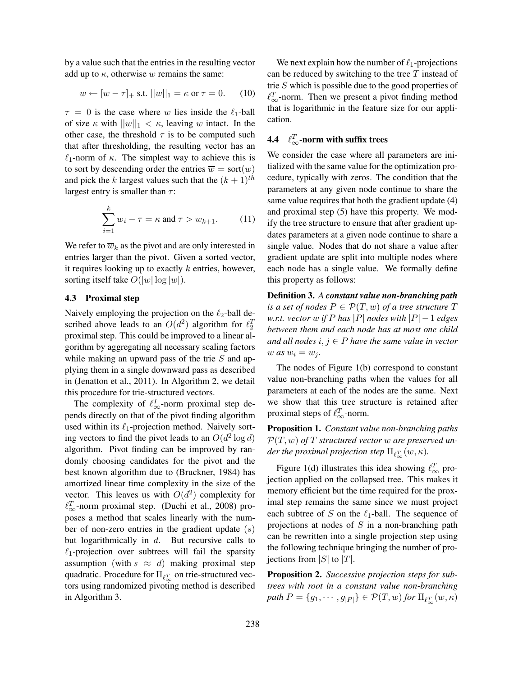by a value such that the entries in the resulting vector add up to  $\kappa$ , otherwise w remains the same:

$$
w \leftarrow [w - \tau]_+
$$
 s.t.  $||w||_1 = \kappa$  or  $\tau = 0.$  (10)

 $\tau = 0$  is the case where w lies inside the  $\ell_1$ -ball of size  $\kappa$  with  $||w||_1 < \kappa$ , leaving w intact. In the other case, the threshold  $\tau$  is to be computed such that after thresholding, the resulting vector has an  $\ell_1$ -norm of  $\kappa$ . The simplest way to achieve this is to sort by descending order the entries  $\overline{w} = \text{sort}(w)$ and pick the k largest values such that the  $(k+1)$ <sup>th</sup> largest entry is smaller than  $\tau$ :

$$
\sum_{i=1}^{k} \overline{w}_i - \tau = \kappa \text{ and } \tau > \overline{w}_{k+1}.
$$
 (11)

We refer to  $\overline{w}_k$  as the pivot and are only interested in entries larger than the pivot. Given a sorted vector, it requires looking up to exactly  $k$  entries, however, sorting itself take  $O(|w| \log |w|)$ .

#### 4.3 Proximal step

Naively employing the projection on the  $\ell_2$ -ball described above leads to an  $O(d^2)$  algorithm for  $\ell_2^T$ proximal step. This could be improved to a linear algorithm by aggregating all necessary scaling factors while making an upward pass of the trie S and applying them in a single downward pass as described in (Jenatton et al., 2011). In Algorithm 2, we detail this procedure for trie-structured vectors.

The complexity of  $\ell_{\infty}^T$ -norm proximal step depends directly on that of the pivot finding algorithm used within its  $\ell_1$ -projection method. Naively sorting vectors to find the pivot leads to an  $O(d^2 \log d)$ algorithm. Pivot finding can be improved by randomly choosing candidates for the pivot and the best known algorithm due to (Bruckner, 1984) has amortized linear time complexity in the size of the vector. This leaves us with  $O(d^2)$  complexity for  $\ell_{\infty}^T$ -norm proximal step. (Duchi et al., 2008) proposes a method that scales linearly with the number of non-zero entries in the gradient update  $(s)$ but logarithmically in  $d$ . But recursive calls to  $\ell_1$ -projection over subtrees will fail the sparsity assumption (with  $s \approx d$ ) making proximal step quadratic. Procedure for  $\Pi_{\ell_{\infty}^T}$  on trie-structured vectors using randomized pivoting method is described in Algorithm 3.

We next explain how the number of  $\ell_1$ -projections can be reduced by switching to the tree  $T$  instead of trie S which is possible due to the good properties of  $\ell_{\infty}^T$ -norm. Then we present a pivot finding method that is logarithmic in the feature size for our application.

# 4.4  $\ell_{\infty}^T$ -norm with suffix trees

We consider the case where all parameters are initialized with the same value for the optimization procedure, typically with zeros. The condition that the parameters at any given node continue to share the same value requires that both the gradient update (4) and proximal step (5) have this property. We modify the tree structure to ensure that after gradient updates parameters at a given node continue to share a single value. Nodes that do not share a value after gradient update are split into multiple nodes where each node has a single value. We formally define this property as follows:

Definition 3. *A constant value non-branching path is a set of nodes*  $P \in \mathcal{P}(T, w)$  *of a tree structure*  $T$ *w.r.t. vector*  $w$  *if*  $P$  *has*  $|P|$  *nodes with*  $|P| - 1$  *edges between them and each node has at most one child and all nodes*  $i, j \in P$  *have the same value in vector*  $w$  *as*  $w_i = w_j$ .

The nodes of Figure 1(b) correspond to constant value non-branching paths when the values for all parameters at each of the nodes are the same. Next we show that this tree structure is retained after proximal steps of  $\ell_{\infty}^T$ -norm.

Proposition 1. *Constant value non-branching paths*  $\mathcal{P}(T, w)$  of T structured vector w are preserved under the proximal projection step  $\Pi_{\ell_{\infty}^T}(w,\kappa).$ 

Figure 1(d) illustrates this idea showing  $\ell_{\infty}^T$  projection applied on the collapsed tree. This makes it memory efficient but the time required for the proximal step remains the same since we must project each subtree of S on the  $\ell_1$ -ball. The sequence of projections at nodes of  $S$  in a non-branching path can be rewritten into a single projection step using the following technique bringing the number of projections from  $|S|$  to  $|T|$ .

Proposition 2. *Successive projection steps for subtrees with root in a constant value non-branching*  $path P = \{g_1, \cdots, g_{|P|}\} \in \mathcal{P}(T, w)$  for  $\Pi_{\ell_{\infty}^T}(w, \kappa)$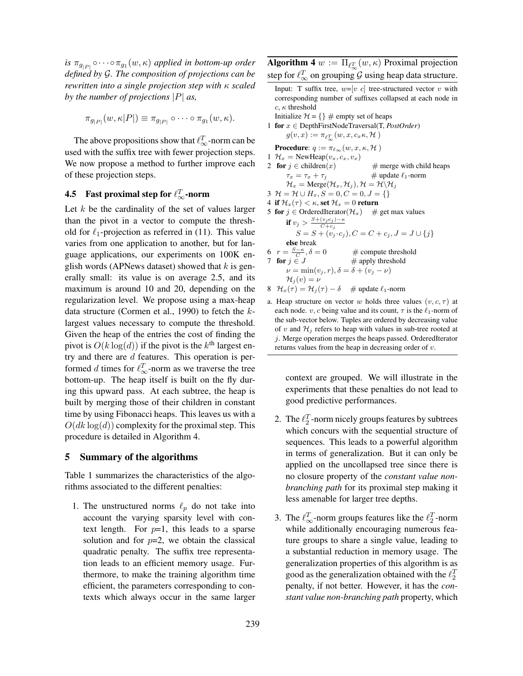*is*  $\pi_{g_{|P|}} \circ \cdots \circ \pi_{g_1}(w, \kappa)$  *applied in bottom-up order defined by* G*. The composition of projections can be rewritten into a single projection step with* κ *scaled by the number of projections* |P| *as,*

$$
\pi_{g_{|P|}}(w,\kappa|P|) \equiv \pi_{g_{|P|}} \circ \cdots \circ \pi_{g_1}(w,\kappa).
$$

The above propositions show that  $\ell_{\infty}^T$ -norm can be used with the suffix tree with fewer projection steps. We now propose a method to further improve each of these projection steps.

# **4.5** Fast proximal step for  $\ell_{\infty}^T$ -norm

Let  $k$  be the cardinality of the set of values larger than the pivot in a vector to compute the threshold for  $\ell_1$ -projection as referred in (11). This value varies from one application to another, but for language applications, our experiments on 100K english words (APNews dataset) showed that  $k$  is generally small: its value is on average 2.5, and its maximum is around 10 and 20, depending on the regularization level. We propose using a max-heap data structure (Cormen et al., 1990) to fetch the  $k$ largest values necessary to compute the threshold. Given the heap of the entries the cost of finding the pivot is  $O(k \log(d))$  if the pivot is the  $k^{\text{th}}$  largest entry and there are d features. This operation is performed d times for  $\ell_{\infty}^T$ -norm as we traverse the tree bottom-up. The heap itself is built on the fly during this upward pass. At each subtree, the heap is built by merging those of their children in constant time by using Fibonacci heaps. This leaves us with a  $O(dk \log(d))$  complexity for the proximal step. This procedure is detailed in Algorithm 4.

### 5 Summary of the algorithms

Table 1 summarizes the characteristics of the algorithms associated to the different penalties:

1. The unstructured norms  $\ell_p$  do not take into account the varying sparsity level with context length. For  $p=1$ , this leads to a sparse solution and for  $p=2$ , we obtain the classical quadratic penalty. The suffix tree representation leads to an efficient memory usage. Furthermore, to make the training algorithm time efficient, the parameters corresponding to contexts which always occur in the same larger **Algorithm 4**  $w := \Pi_{\ell_{\infty}^T}(w, \kappa)$  Proximal projection step for  $\ell_{\infty}^T$  on grouping  $\mathcal G$  using heap data structure.

- Input: T suffix tree,  $w=[v \ c]$  tree-structured vector v with corresponding number of suffixes collapsed at each node in  $c, \kappa$  threshold Initialize  $\mathcal{H} = \{\} \#$  empty set of heaps 1 for x ∈ DepthFirstNodeTraversal(T, *PostOrder*)  $g(v, x) := \pi_{\ell_{\infty}^T}(w, x, c_x \kappa, \mathcal{H})$ **Procedure:**  $q := \pi_{\ell_{\infty}}(w, x, \kappa, \mathcal{H})$ 1  $\mathcal{H}_x$  = NewHeap $(v_x, c_x, v_x)$ 2 **for**  $j \in \text{children}(x)$  # merge with child heaps  $\tau_x = \tau_x + \tau_i$  # update  $\ell_1$ -norm  $\mathcal{H}_x = \text{Merge}(\mathcal{H}_x, \mathcal{H}_j), \mathcal{H} = \mathcal{H}\backslash\mathcal{H}_j$ 3  $\mathcal{H} = \mathcal{H} \cup H_x, S = 0, C = 0, J = \{\}$ 4 if  $\mathcal{H}_x(\tau) < \kappa$ , set  $\mathcal{H}_x = 0$  return 5 for  $j \in$  OrderedIterator $(\mathcal{H}_x)$  # get max values if  $v_j > \frac{S + (v_j c_j) - \kappa}{C + c_j}$  $S = S + (v_j \cdot c_j), C = C + c_j, J = J \cup \{j\}$ else break 6  $r = \frac{S - \kappa}{C}$  $#$  compute threshold 7 **for**  $j \in J$  # apply threshold  $\nu = \min(v_j, r), \delta = \delta + (v_j - \nu)$  $\mathcal{H}_i (v) = \nu$ 8  $\mathcal{H}_x(\tau) = \mathcal{H}_j(\tau) - \delta$  # update  $\ell_1$ -norm
- a. Heap structure on vector w holds three values  $(v, c, \tau)$  at each node. v, c being value and its count,  $\tau$  is the  $\ell_1$ -norm of the sub-vector below. Tuples are ordered by decreasing value of v and  $\mathcal{H}_i$  refers to heap with values in sub-tree rooted at j. Merge operation merges the heaps passed. OrderedIterator returns values from the heap in decreasing order of v.

context are grouped. We will illustrate in the experiments that these penalties do not lead to good predictive performances.

- 2. The  $\ell_2^T$ -norm nicely groups features by subtrees which concurs with the sequential structure of sequences. This leads to a powerful algorithm in terms of generalization. But it can only be applied on the uncollapsed tree since there is no closure property of the *constant value nonbranching path* for its proximal step making it less amenable for larger tree depths.
- 3. The  $\ell_{\infty}^T$ -norm groups features like the  $\ell_2^T$ -norm while additionally encouraging numerous feature groups to share a single value, leading to a substantial reduction in memory usage. The generalization properties of this algorithm is as good as the generalization obtained with the  $\ell_2^T$ penalty, if not better. However, it has the *constant value non-branching path* property, which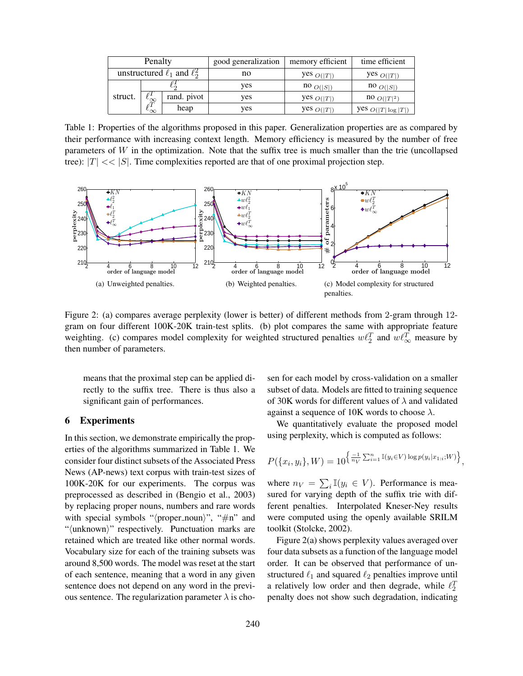| Penalty                              |                                      |             | good generalization | memory efficient                | time efficient                  |
|--------------------------------------|--------------------------------------|-------------|---------------------|---------------------------------|---------------------------------|
| unstructured $\ell_1$ and $\ell_2^2$ |                                      |             | no                  | yes $O( T )$                    | yes $O( T )$                    |
|                                      |                                      |             | yes                 | $\mathsf{no}_{\mathit{O}( S )}$ | $\mathsf{no}_{\mathit{O}( S )}$ |
| struct.                              | $\sim \infty$<br>oΤ<br>$\sim \infty$ | rand. pivot | ves                 | yes $O( T )$                    | $100 O( T ^2)$                  |
|                                      |                                      | heap        | ves                 | yes $O( T )$                    | yes $O( T \log  T )$            |

Table 1: Properties of the algorithms proposed in this paper. Generalization properties are as compared by their performance with increasing context length. Memory efficiency is measured by the number of free parameters of W in the optimization. Note that the suffix tree is much smaller than the trie (uncollapsed tree):  $|T| \ll |S|$ . Time complexities reported are that of one proximal projection step.



Figure 2: (a) compares average perplexity (lower is better) of different methods from 2-gram through 12 gram on four different 100K-20K train-test splits. (b) plot compares the same with appropriate feature weighting. (c) compares model complexity for weighted structured penalties  $w\ell_2^T$  and  $w\ell_{\infty}^T$  measure by then number of parameters.

means that the proximal step can be applied directly to the suffix tree. There is thus also a significant gain of performances.

## 6 Experiments

In this section, we demonstrate empirically the properties of the algorithms summarized in Table 1. We consider four distinct subsets of the Associated Press News (AP-news) text corpus with train-test sizes of 100K-20K for our experiments. The corpus was preprocessed as described in (Bengio et al., 2003) by replacing proper nouns, numbers and rare words with special symbols " $\langle$ proper\_noun $\rangle$ ", "#n" and " $\langle$ unknown $\rangle$ " respectively. Punctuation marks are retained which are treated like other normal words. Vocabulary size for each of the training subsets was around 8,500 words. The model was reset at the start of each sentence, meaning that a word in any given sentence does not depend on any word in the previous sentence. The regularization parameter  $\lambda$  is chosen for each model by cross-validation on a smaller subset of data. Models are fitted to training sequence of 30K words for different values of  $\lambda$  and validated against a sequence of 10K words to choose  $\lambda$ .

We quantitatively evaluate the proposed model using perplexity, which is computed as follows:

$$
P(\{x_i, y_i\}, W) = 10^{\left\{\frac{-1}{n_V} \sum_{i=1}^n \mathbb{I}(y_i \in V) \log p(y_i | x_{1:i}; W)\right\}},
$$

where  $n_V = \sum_i \mathbb{I}(y_i \in V)$ . Performance is measured for varying depth of the suffix trie with different penalties. Interpolated Kneser-Ney results were computed using the openly available SRILM toolkit (Stolcke, 2002).

Figure 2(a) shows perplexity values averaged over four data subsets as a function of the language model order. It can be observed that performance of unstructured  $\ell_1$  and squared  $\ell_2$  penalties improve until a relatively low order and then degrade, while  $\ell_2^T$ penalty does not show such degradation, indicating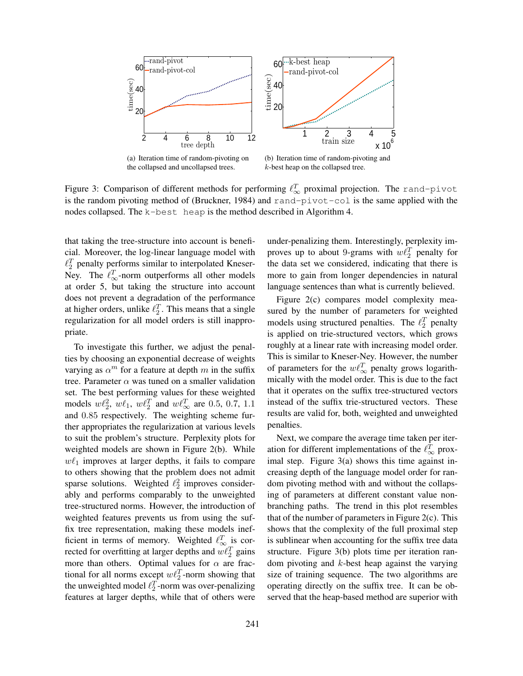

Figure 3: Comparison of different methods for performing  $\ell_{\infty}^T$  proximal projection. The rand-pivot is the random pivoting method of (Bruckner, 1984) and rand-pivot-col is the same applied with the nodes collapsed. The k-best heap is the method described in Algorithm 4.

that taking the tree-structure into account is beneficial. Moreover, the log-linear language model with  $\ell_2^T$  penalty performs similar to interpolated Kneser-Ney. The  $\ell_{\infty}^T$ -norm outperforms all other models at order 5, but taking the structure into account does not prevent a degradation of the performance at higher orders, unlike  $\ell_2^T$ . This means that a single regularization for all model orders is still inappropriate.

To investigate this further, we adjust the penalties by choosing an exponential decrease of weights varying as  $\alpha^m$  for a feature at depth m in the suffix tree. Parameter  $\alpha$  was tuned on a smaller validation set. The best performing values for these weighted models  $w\ell_2^2$ ,  $w\ell_1$ ,  $w\ell_2^T$  and  $w\ell_\infty^T$  are 0.5, 0.7, 1.1 and 0.85 respectively. The weighting scheme further appropriates the regularization at various levels to suit the problem's structure. Perplexity plots for weighted models are shown in Figure 2(b). While  $w\ell_1$  improves at larger depths, it fails to compare to others showing that the problem does not admit sparse solutions. Weighted  $\ell_2^2$  improves considerably and performs comparably to the unweighted tree-structured norms. However, the introduction of weighted features prevents us from using the suffix tree representation, making these models inefficient in terms of memory. Weighted  $\ell_{\infty}^T$  is corrected for overfitting at larger depths and  $w \ell_2^T$  gains more than others. Optimal values for  $\alpha$  are fractional for all norms except  $w \ell_2^T$ -norm showing that the unweighted model  $\ell_2^T$ -norm was over-penalizing features at larger depths, while that of others were

under-penalizing them. Interestingly, perplexity improves up to about 9-grams with  $w \ell_2^T$  penalty for the data set we considered, indicating that there is more to gain from longer dependencies in natural language sentences than what is currently believed.

Figure 2(c) compares model complexity measured by the number of parameters for weighted models using structured penalties. The  $\ell_2^T$  penalty is applied on trie-structured vectors, which grows roughly at a linear rate with increasing model order. This is similar to Kneser-Ney. However, the number of parameters for the  $w \ell_{\infty}^T$  penalty grows logarithmically with the model order. This is due to the fact that it operates on the suffix tree-structured vectors instead of the suffix trie-structured vectors. These results are valid for, both, weighted and unweighted penalties.

Next, we compare the average time taken per iteration for different implementations of the  $\ell_{\infty}^T$  proximal step. Figure 3(a) shows this time against increasing depth of the language model order for random pivoting method with and without the collapsing of parameters at different constant value nonbranching paths. The trend in this plot resembles that of the number of parameters in Figure  $2(c)$ . This shows that the complexity of the full proximal step is sublinear when accounting for the suffix tree data structure. Figure 3(b) plots time per iteration random pivoting and  $k$ -best heap against the varying size of training sequence. The two algorithms are operating directly on the suffix tree. It can be observed that the heap-based method are superior with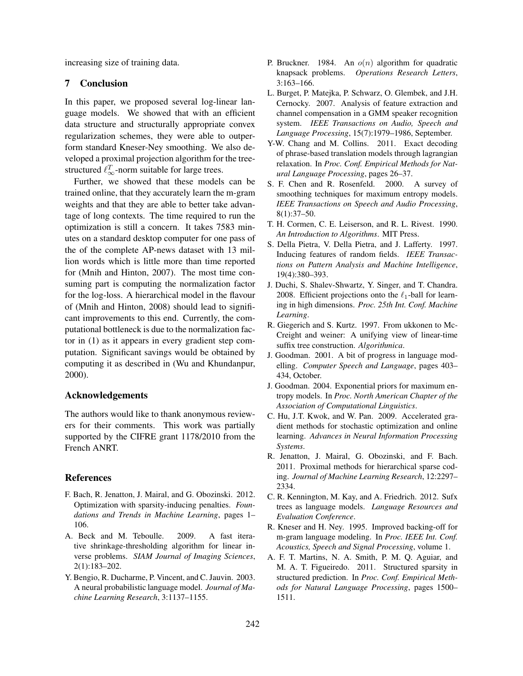increasing size of training data.

#### 7 Conclusion

In this paper, we proposed several log-linear language models. We showed that with an efficient data structure and structurally appropriate convex regularization schemes, they were able to outperform standard Kneser-Ney smoothing. We also developed a proximal projection algorithm for the treestructured  $\ell_{\infty}^T$ -norm suitable for large trees.

Further, we showed that these models can be trained online, that they accurately learn the m-gram weights and that they are able to better take advantage of long contexts. The time required to run the optimization is still a concern. It takes 7583 minutes on a standard desktop computer for one pass of the of the complete AP-news dataset with 13 million words which is little more than time reported for (Mnih and Hinton, 2007). The most time consuming part is computing the normalization factor for the log-loss. A hierarchical model in the flavour of (Mnih and Hinton, 2008) should lead to significant improvements to this end. Currently, the computational bottleneck is due to the normalization factor in (1) as it appears in every gradient step computation. Significant savings would be obtained by computing it as described in (Wu and Khundanpur, 2000).

#### Acknowledgements

The authors would like to thank anonymous reviewers for their comments. This work was partially supported by the CIFRE grant 1178/2010 from the French ANRT.

### References

- F. Bach, R. Jenatton, J. Mairal, and G. Obozinski. 2012. Optimization with sparsity-inducing penalties. *Foundations and Trends in Machine Learning*, pages 1– 106.
- A. Beck and M. Teboulle. 2009. A fast iterative shrinkage-thresholding algorithm for linear inverse problems. *SIAM Journal of Imaging Sciences*, 2(1):183–202.
- Y. Bengio, R. Ducharme, P. Vincent, and C. Jauvin. 2003. A neural probabilistic language model. *Journal of Machine Learning Research*, 3:1137–1155.
- P. Bruckner. 1984. An  $o(n)$  algorithm for quadratic knapsack problems. *Operations Research Letters*, 3:163–166.
- L. Burget, P. Matejka, P. Schwarz, O. Glembek, and J.H. Cernocky. 2007. Analysis of feature extraction and channel compensation in a GMM speaker recognition system. *IEEE Transactions on Audio, Speech and Language Processing*, 15(7):1979–1986, September.
- Y-W. Chang and M. Collins. 2011. Exact decoding of phrase-based translation models through lagrangian relaxation. In *Proc. Conf. Empirical Methods for Natural Language Processing*, pages 26–37.
- S. F. Chen and R. Rosenfeld. 2000. A survey of smoothing techniques for maximum entropy models. *IEEE Transactions on Speech and Audio Processing*, 8(1):37–50.
- T. H. Cormen, C. E. Leiserson, and R. L. Rivest. 1990. *An Introduction to Algorithms*. MIT Press.
- S. Della Pietra, V. Della Pietra, and J. Lafferty. 1997. Inducing features of random fields. *IEEE Transactions on Pattern Analysis and Machine Intelligence*, 19(4):380–393.
- J. Duchi, S. Shalev-Shwartz, Y. Singer, and T. Chandra. 2008. Efficient projections onto the  $\ell_1$ -ball for learning in high dimensions. *Proc. 25th Int. Conf. Machine Learning*.
- R. Giegerich and S. Kurtz. 1997. From ukkonen to Mc-Creight and weiner: A unifying view of linear-time suffix tree construction. *Algorithmica*.
- J. Goodman. 2001. A bit of progress in language modelling. *Computer Speech and Language*, pages 403– 434, October.
- J. Goodman. 2004. Exponential priors for maximum entropy models. In *Proc. North American Chapter of the Association of Computational Linguistics*.
- C. Hu, J.T. Kwok, and W. Pan. 2009. Accelerated gradient methods for stochastic optimization and online learning. *Advances in Neural Information Processing Systems*.
- R. Jenatton, J. Mairal, G. Obozinski, and F. Bach. 2011. Proximal methods for hierarchical sparse coding. *Journal of Machine Learning Research*, 12:2297– 2334.
- C. R. Kennington, M. Kay, and A. Friedrich. 2012. Sufx trees as language models. *Language Resources and Evaluation Conference*.
- R. Kneser and H. Ney. 1995. Improved backing-off for m-gram language modeling. In *Proc. IEEE Int. Conf. Acoustics, Speech and Signal Processing*, volume 1.
- A. F. T. Martins, N. A. Smith, P. M. Q. Aguiar, and M. A. T. Figueiredo. 2011. Structured sparsity in structured prediction. In *Proc. Conf. Empirical Methods for Natural Language Processing*, pages 1500– 1511.